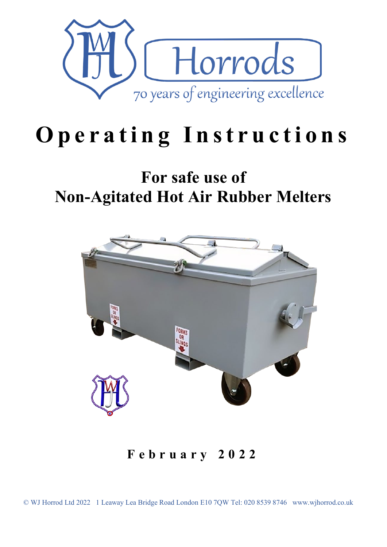

# **O perating Instructions**

# **For safe use of Non-Agitated Hot Air Rubber Melters**



**February 202 2**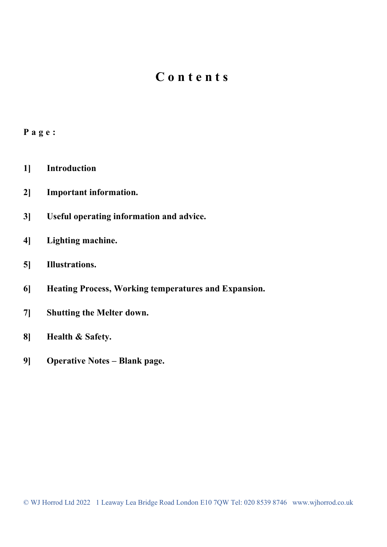### **Contents**

#### **Page:**

- **1] Introduction**
- **2] Important information.**
- **3] Useful operating information and advice.**
- **4] Lighting machine.**
- **5] Illustrations.**
- **6] Heating Process, Working temperatures and Expansion.**
- **7] Shutting the Melter down.**
- **8] Health & Safety.**
- **9] Operative Notes – Blank page.**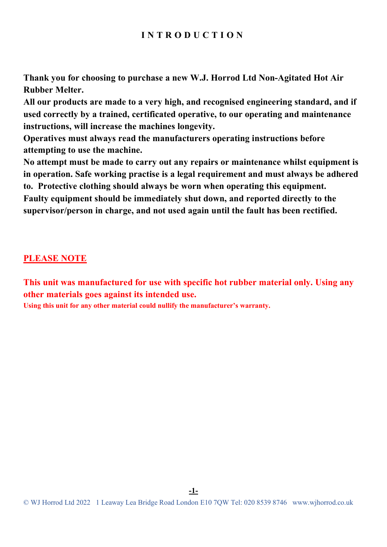#### **INTRODUCTION**

**Thank you for choosing to purchase a new W.J. Horrod Ltd Non-Agitated Hot Air Rubber Melter.**

**All our products are made to a very high, and recognised engineering standard, and if used correctly by a trained, certificated operative, to our operating and maintenance instructions, will increase the machines longevity.** 

**Operatives must always read the manufacturers operating instructions before attempting to use the machine.** 

**No attempt must be made to carry out any repairs or maintenance whilst equipment is in operation. Safe working practise is a legal requirement and must always be adhered to. Protective clothing should always be worn when operating this equipment. Faulty equipment should be immediately shut down, and reported directly to the supervisor/person in charge, and not used again until the fault has been rectified.** 

#### **PLEASE NOTE**

**This unit was manufactured for use with specific hot rubber material only. Using any other materials goes against its intended use.**

**Using this unit for any other material could nullify the manufacturer's warranty.**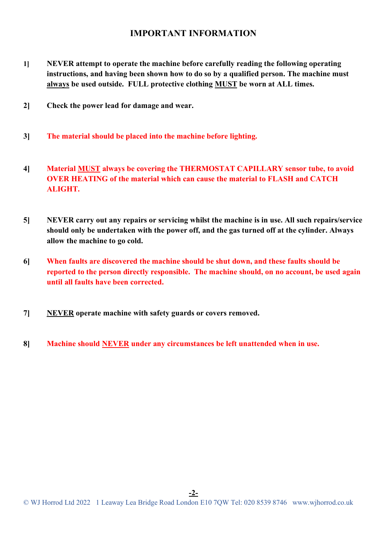#### **IMPORTANT INFORMATION**

- **1] NEVER attempt to operate the machine before carefully reading the following operating instructions, and having been shown how to do so by a qualified person. The machine must always be used outside. FULL protective clothing MUST be worn at ALL times.**
- **2] Check the power lead for damage and wear.**
- **3] The material should be placed into the machine before lighting.**
- **4] Material MUST always be covering the THERMOSTAT CAPILLARY sensor tube, to avoid OVER HEATING of the material which can cause the material to FLASH and CATCH ALIGHT.**
- **5] NEVER carry out any repairs or servicing whilst the machine is in use. All such repairs/service should only be undertaken with the power off, and the gas turned off at the cylinder. Always allow the machine to go cold.**
- **6] When faults are discovered the machine should be shut down, and these faults should be reported to the person directly responsible. The machine should, on no account, be used again until all faults have been corrected.**
- **7] NEVER operate machine with safety guards or covers removed.**
- **8] Machine should NEVER under any circumstances be left unattended when in use.**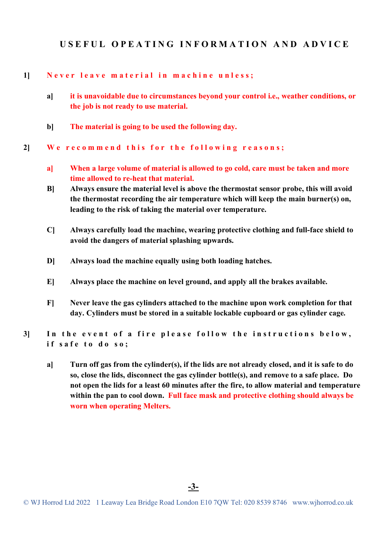#### **USEFUL OPEATING INFORMATION AND ADVICE**

#### **1] Never leave material in machine unless;**

- **a] it is unavoidable due to circumstances beyond your control i.e., weather conditions, or the job is not ready to use material.**
- **b] The material is going to be used the following day.**

**2] We recommend this for the following reasons;**

- **a] When a large volume of material is allowed to go cold, care must be taken and more time allowed to re-heat that material.**
- **B] Always ensure the material level is above the thermostat sensor probe, this will avoid the thermostat recording the air temperature which will keep the main burner(s) on, leading to the risk of taking the material over temperature.**
- **C] Always carefully load the machine, wearing protective clothing and full-face shield to avoid the dangers of material splashing upwards.**
- **D] Always load the machine equally using both loading hatches.**
- **E] Always place the machine on level ground, and apply all the brakes available.**
- **F] Never leave the gas cylinders attached to the machine upon work completion for that day. Cylinders must be stored in a suitable lockable cupboard or gas cylinder cage.**

**3] In the event of a fire please follow the instruction s below , if safe to do so;**

**a] Turn off gas from the cylinder(s), if the lids are not already closed, and it is safe to do so, close the lids, disconnect the gas cylinder bottle(s), and remove to a safe place. Do not open the lids for a least 60 minutes after the fire, to allow material and temperature within the pan to cool down. Full face mask and protective clothing should always be worn when operating Melters.**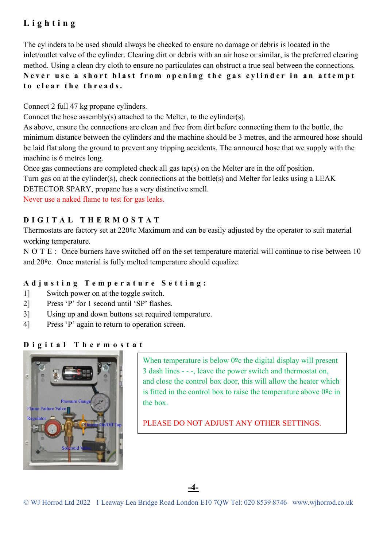#### **Lighting**

The cylinders to be used should always be checked to ensure no damage or debris is located in the inlet/outlet valve of the cylinder. Clearing dirt or debris with an air hose or similar, is the preferred clearing method. Using a clean dry cloth to ensure no particulates can obstruct a true seal between the connections. **Never use a short blast from opening the gas cylinder in an attempt to clear the threads.**

Connect 2 full 47 kg propane cylinders.

Connect the hose assembly(s) attached to the Melter, to the cylinder(s).

As above, ensure the connections are clean and free from dirt before connecting them to the bottle, the minimum distance between the cylinders and the machine should be 3 metres, and the armoured hose should be laid flat along the ground to prevent any tripping accidents. The armoured hose that we supply with the machine is 6 metres long.

Once gas connections are completed check all gas tap(s) on the Melter are in the off position.

Turn gas on at the cylinder(s), check connections at the bottle(s) and Melter for leaks using a LEAK

DETECTOR SPARY, propane has a very distinctive smell.

Never use a naked flame to test for gas leaks.

#### **DIGITAL THERMOSTAT**

Thermostats are factory set at 220ºc Maximum and can be easily adjusted by the operator to suit material working temperature.

NOTE: Once burners have switched off on the set temperature material will continue to rise between 10 and 20ºc. Once material is fully melted temperature should equalize.

#### **Adjusting Temperature Setting:**

- 1] Switch power on at the toggle switch.
- 2] Press 'P' for 1 second until 'SP' flashes.
- 3] Using up and down buttons set required temperature.
- 4] Press 'P' again to return to operation screen.

#### **Digital Thermostat**



When temperature is below 0<sup>o</sup>c the digital display will present 3 dash lines - - -, leave the power switch and thermostat on, and close the control box door, this will allow the heater which is fitted in the control box to raise the temperature above  $0<sup>9</sup>c$  in the box.

PLEASE DO NOT ADJUST ANY OTHER SETTINGS.

**-4-**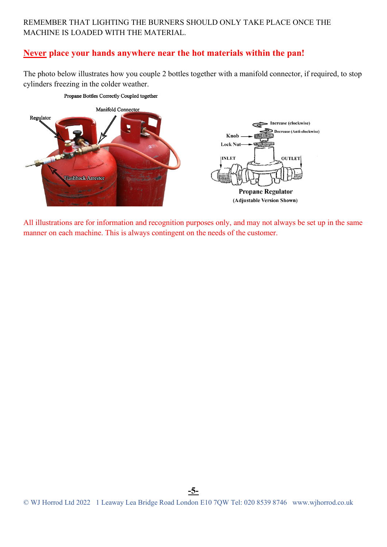#### REMEMBER THAT LIGHTING THE BURNERS SHOULD ONLY TAKE PLACE ONCE THE MACHINE IS LOADED WITH THE MATERIAL.

#### **Never place your hands anywhere near the hot materials within the pan!**

Propane Bottles Correctly Coupled together

The photo below illustrates how you couple 2 bottles together with a manifold connector, if required, to stop cylinders freezing in the colder weather.



All illustrations are for information and recognition purposes only, and may not always be set up in the same

manner on each machine. This is always contingent on the needs of the customer.

**-5-**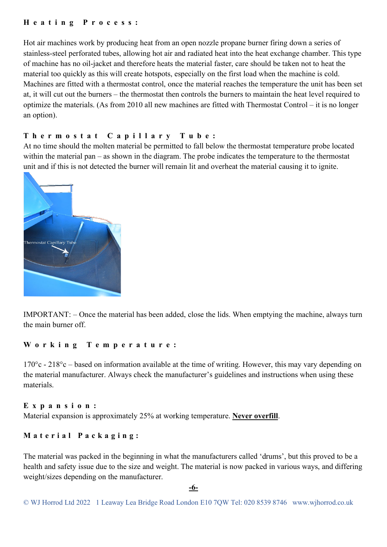#### **Heating Process:**

Hot air machines work by producing heat from an open nozzle propane burner firing down a series of stainless-steel perforated tubes, allowing hot air and radiated heat into the heat exchange chamber. This type of machine has no oil-jacket and therefore heats the material faster, care should be taken not to heat the material too quickly as this will create hotspots, especially on the first load when the machine is cold. Machines are fitted with a thermostat control, once the material reaches the temperature the unit has been set at, it will cut out the burners – the thermostat then controls the burners to maintain the heat level required to optimize the materials. (As from 2010 all new machines are fitted with Thermostat Control – it is no longer an option).

#### **Thermostat Capillary Tube:**

At no time should the molten material be permitted to fall below the thermostat temperature probe located within the material pan – as shown in the diagram. The probe indicates the temperature to the thermostat unit and if this is not detected the burner will remain lit and overheat the material causing it to ignite.



IMPORTANT: – Once the material has been added, close the lids. When emptying the machine, always turn the main burner off.

#### **Working Temperature:**

170°c - 218°c – based on information available at the time of writing. However, this may vary depending on the material manufacturer. Always check the manufacturer's guidelines and instructions when using these materials.

#### **Expansion:**

Material expansion is approximately 25% at working temperature. **Never overfill**.

#### **Material Packaging:**

The material was packed in the beginning in what the manufacturers called 'drums', but this proved to be a health and safety issue due to the size and weight. The material is now packed in various ways, and differing weight/sizes depending on the manufacturer.

**-6-**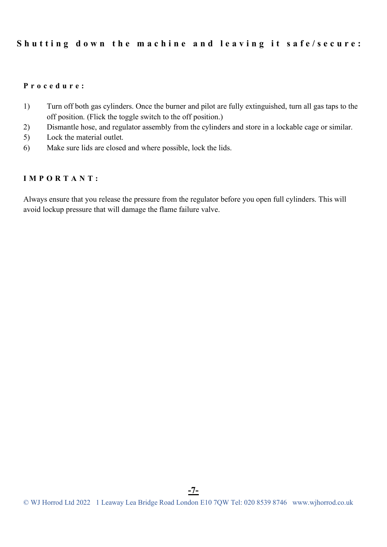#### **Shutting down the machine and leaving it safe/secure:**

#### **Procedure:**

- 1) Turn off both gas cylinders. Once the burner and pilot are fully extinguished, turn all gas taps to the off position. (Flick the toggle switch to the off position.)
- 2) Dismantle hose, and regulator assembly from the cylinders and store in a lockable cage or similar.
- 5) Lock the material outlet.
- 6) Make sure lids are closed and where possible, lock the lids.

#### **IMPORTANT:**

Always ensure that you release the pressure from the regulator before you open full cylinders. This will avoid lockup pressure that will damage the flame failure valve.

**-7-**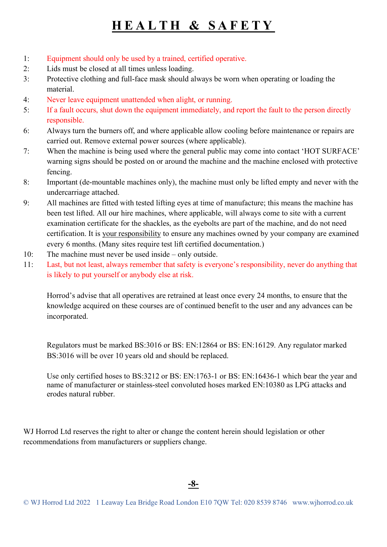## **HEALTH & SAFETY**

- 1: Equipment should only be used by a trained, certified operative.
- 2: Lids must be closed at all times unless loading.
- 3: Protective clothing and full-face mask should always be worn when operating or loading the material.
- 4: Never leave equipment unattended when alight, or running.
- 5: If a fault occurs, shut down the equipment immediately, and report the fault to the person directly responsible.
- 6: Always turn the burners off, and where applicable allow cooling before maintenance or repairs are carried out. Remove external power sources (where applicable).
- 7: When the machine is being used where the general public may come into contact 'HOT SURFACE' warning signs should be posted on or around the machine and the machine enclosed with protective fencing.
- 8: Important (de-mountable machines only), the machine must only be lifted empty and never with the undercarriage attached.
- 9: All machines are fitted with tested lifting eyes at time of manufacture; this means the machine has been test lifted. All our hire machines, where applicable, will always come to site with a current examination certificate for the shackles, as the eyebolts are part of the machine, and do not need certification. It is your responsibility to ensure any machines owned by your company are examined every 6 months. (Many sites require test lift certified documentation.)
- 10: The machine must never be used inside only outside.
- 11: Last, but not least, always remember that safety is everyone's responsibility, never do anything that is likely to put yourself or anybody else at risk.

Horrod's advise that all operatives are retrained at least once every 24 months, to ensure that the knowledge acquired on these courses are of continued benefit to the user and any advances can be incorporated.

Regulators must be marked BS:3016 or BS: EN:12864 or BS: EN:16129. Any regulator marked BS:3016 will be over 10 years old and should be replaced.

Use only certified hoses to BS:3212 or BS: EN:1763-1 or BS: EN:16436-1 which bear the year and name of manufacturer or stainless-steel convoluted hoses marked EN:10380 as LPG attacks and erodes natural rubber.

WJ Horrod Ltd reserves the right to alter or change the content herein should legislation or other recommendations from manufacturers or suppliers change.

**-8-**